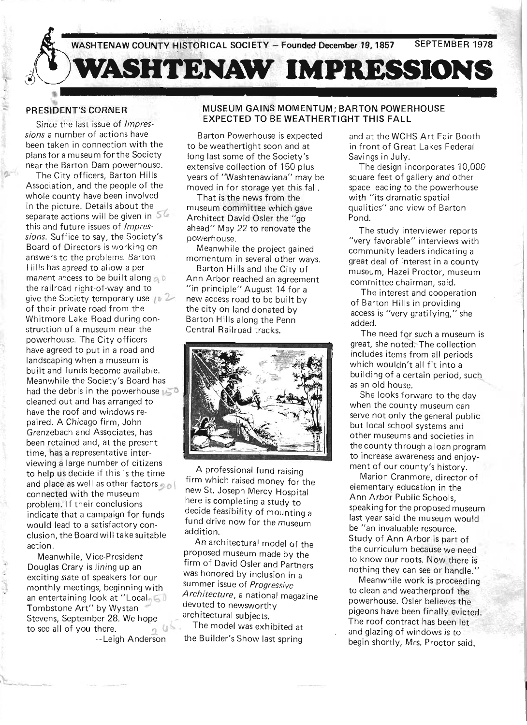

### **PRESIDENT'S CORNER**

Since the last issue of *Impressions* a number of actions have been taken in connection with the plans for a museum for the Society near the Barton Dam powerhouse.

The City officers, Barton Hills Association, and the people of the whole county have been involved in the picture. Details about the separate actions will be given in  $56$ this and future issues of *Impressions.* Suffice to say, the Society'S Board of Directors is working on answers to the problems. Barton Hills has agreed to allow a permanent access to be built along  $\alpha$ <sup>D</sup> the railroad right-of-way and to give the Society temporary use  $\sqrt{p}$ of their private road from the Whitmore Lake Road during construction of a museum near the powerhouse. The City officers have agreed to put in a road and landscaping when a museum is built and funds become available. Meanwhile the Society's Board has had the debris in the powerhouse  $\mathbb{I}\subseteq\mathbb{D}$ cleaned out and has arranged to have the roof and windows repaired. A Chicago firm, John Grenzebach and Associates, has been retained and, at the present time, has a representative interviewing a large number of citizens to help us decide if this is the time and place as well as other factors  $\sim 1$ connected with the museum problem. If their conclusions indicate that a campaign for funds would lead to a satisfactory conclusion, the Board will take suitable action.

Meanwhile, Vice-President Douglas Crary is lining up an exciting slate of speakers for our monthly meetings, beginning with an entertaining look at "Local,  $\leq$  0 Tombstone Art" by Wystan Stevens, September 28. We hope to see all of you there. --Leigh Anderson

#### **MUSEUM GAINS MOMENTUM; BARTON POWERHOUSE EXPECTED TO BE WEATHERTIGHT THIS FALL**

Barton Powerhouse is expected to be weathertight soon and at long last some of the Society's extensive collection of 150 plus years of "Washtenawiana" may be moved in for storage yet this fall.

That is the news from the museum committee which gave Architect David Osler the "go ahead" May 22 to renovate the powerhouse.

Meanwhile the project gained momentum in several other ways.

Barton Hills and the City of Ann Arbor reached an agreement "in principle" August 14 for a new access road to be built by the city on land donated by Barton Hills along the Penn Central Railroad tracks.



A professional fund raising firm which raised money for the new St. Joseph Mercy Hospital here is completing a study to decide feasibility of mounting a fund drive now for the museum addition.

An architectural model of the proposed museum made by the firm of David Osler and Partners was honored by inclusion in a summer issue of *Progressive Architecture,* a national magazine devoted to newsworthy architectural subjects.

The model was exhibited at the Builder's Show last spring

and at the WCHS Art Fair Booth in front of Great Lakes Federal Savings in July.

The design incorporates 10,000 square feet of gallery and other space leading to the powerhouse with "its dramatic spatial qualities" and view of Barton Pond.

The study interviewer reports "very favorable" interviews with community leaders indicating a great deal of interest in a county museum, Hazel Proctor, museum committee chairman, said.

The interest and cooperation of Barton Hills in providing access is "very gratifying," she added.

The need for such a museum is great, she noted. The collection includes items from all periods which wouldn't all fit into a building of a certain period, such as an old house.

She looks forward to the day when the county museum can serve not only the general public but local school systems and other museums and societies in the county through a loan program to increase awareness and enjoyment of our county's history.

Marion Cranmore, director of elementary education in the Ann Arbor Public Schools, speaking for the proposed museum last year said the museum would be "an invaluable resource. Study of Ann Arbor is part of the curriculum because we need to know our roots. Now there is nothing they can see or handle."

Meanwhile work is proceeding to clean and weatherproof the powerhouse. Osler believes the pigeons have been finally evicted. The roof contract has been let and glazing of windows is to begin shortly, Mrs. Proctor said.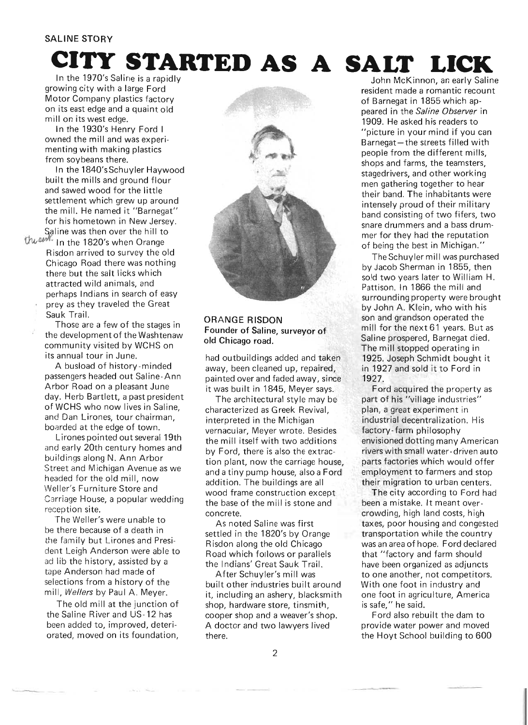# **CI'I'Y STARTED AS A SALT LICK**

In the 1970's Saline is a rapidly growing city with a large Ford Motor Company plastics factory on its east edge and a quaint old mill on its west edge.

In the 1930's Henry Ford I owned the mill and was experimenting with making plastics from soybeans there.

In the 1840'sSchuyler Haywood built the mills and ground flour and sawed wood for the little settlement which grew up around the mill. He named it "Barnegat" for his hometown in New Jersey. Saline was then over the hill to

the and In the 1820's when Orange Risdon arrived to survey the old Chicago Road there was nothing there but the salt licks which attracted wild animals, and perhaps Indians in search of easy prey as they traveled the Great Sauk Trail.

> Those are a few of the stages in the development of the Washtenaw community visited by WCHS on its annual tour in June.

A busload of history-minded passengers headed out Saline-Ann Arbor Road on a pleasant June day. Herb Bartlett, a past president of WCHS who now lives in Saline, and Dan Lirones, tour chairman, boarded at the edge of town.

Lirones pointed out several 19th and early 20th century homes and buildings along N. Ann Arbor Street and Michigan Avenue as we headed for the old mill, now Weller's Furniture Store and Carriage House, a popular wedding reception site.

The Weller's were unable to be there because of a death in the family but Lirones and President Leigh Anderson were able to ad lib the history, assisted by a tape Anderson had made of selections from a history of the mill, *Wellers* by Paul A. Meyer.

The old mill at the junction of the Saline River and US-12 has been added to, improved, deteriorated, moved on its foundation,



#### ORANGE RISDON Founder of Saline, surveyor of old Chicago road.

had outbuildings added and taken away, been cleaned up, repaired, painted over and faded away, since it was built in 1845, Meyer says.

The architectural style may be characterized as Greek Revival, interpreted in the Michigan vernacular, Meyer wrote. Besides the mill itself with two additions by Ford, there is also the extraction plant, now the carriage house, and a tiny pump house, also a Ford addition. The buildings are all wood frame construction except the base of the mill is stone and concrete.

As noted Saline was first settled in the 1820's by Orange Risdon along the old Chicago Road which follows or parallels the Indians' Great Sauk Trail.

After Schuyler's mill was built other industries built around it, including an ashery, blacksmith shop, hardware store, tinsmith, cooper shop and a weaver's shop. A doctor and two lawyers lived there.

John McKinnon, an early Saline resident made a romantic recount of Barnegat in 1855 which appeared in the *Saline Observer* in 1909. He asked his readers to "picture in your mind if you can Barnegat-the streets filled with people from the different mills, shops and farms, the teamsters, stagedrivers, and other working men gathering together to hear their band. The inhabitants were intensely proud of their military band consisting of two fifers, two snare drummers and a bass drummer for they had the reputation of being the best in Michigan."

The Schuyler mill was purchased by Jacob Sherman in 1855, then sold two years later to William H. Pattison. In 1866 the mill and surrounding property were brought by John A. Klein, who with his son and grandson operated the mill for the next 61 years. But as Saline prospered, Barnegat died. The mill stopped operating in 1925. Joseph Schmidt bought it in 1927 and sold it to Ford in 1927.

Ford acquired the property as part of his "village industries" plan, a great experiment in industrial decentralization. His factory-farm philosophy envisioned dotting many American rivers with small water-driven auto parts factories which would offer employment to farmers and stop their migration to urban centers.

The city according to Ford had been a mistake. It meant overcrowding, high land costs, high taxes, poor housing and congested transportation while the country was an area of hope. Ford declared that "factory and farm should have been organized as adjuncts to one another, not competitors. With one foot in industry and one foot in agriculture, America is safe," he said.

Ford also rebuilt the dam to provide water power and moved the Hoyt School building to 600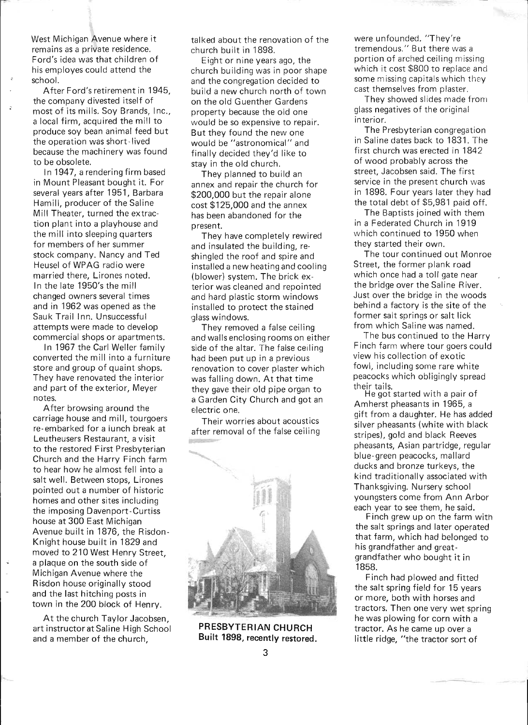West Michigan Avenue where it remains as a private residence. Ford's idea was that children of his employes could attend the school.

 $\ddot{z}$ 

After Ford's retirement in 1945, the company divested itself of most of its mills. Soy Brands, Inc., a local firm, acquired the mill to produce soy bean animal feed but the operation was short-lived because the machinery was found to be obsolete.

In 1947, a rendering firm based in Mount Pleasant bought it. For several years after 1951, Barbara Hamill, producer of the Saline Mill Theater, turned the extraction plant into a playhouse and the mill into sleeping quarters for members of her summer stock company. Nancy and Ted Heusel of WPAG radio were married there, Lirones noted. In the late 1950's the mill changed owners several times and in 1962 was opened as the Sauk Trail Inn. Unsuccessful attempts were made to develop commercial shops or apartments.

In 1967 the Carl Weller family converted the mill into a furniture store and group of quaint shops. They have renovated the interior and part of the exterior, Meyer notes.

After browsing around the carriage house and mill, tourgoers re- embarked for a lunch break at Leutheusers Restaurant, a visit to the restored First Presbyterian Church and the Harry Finch farm to hear how he almost fell into a salt well. Between stops, Lirones pointed out a number of historic homes and other sites including the imposing Davenport-Curtiss house at 300 East Michigan Avenue built in 1876, the Risdon-Knight house built in 1829 and moved to 210 West Henry Street, a plaque on the south side of Michigan Avenue where the Risdon house originally stood and the last hitching posts in town in the 200 block of Henry.

At the church Taylor Jacobsen, art instructor at Saline High School and a member of the church,

talked about the renovation of the church built in 1898.

Eight or nine years ago, the church building was in poor shape and the congregation decided to build a new church north of town on the old Guenther Gardens property because the old one would be so expensive to repair. But they found the new one would be "astronomical" and finally decided they'd like to stay in the old church.

They planned to build an annex and repair the church for \$200,000 but the repair alone cost \$125,000 and the annex has been abandoned for the present.

They have completely rewired and insulated the building, reshingled the roof and spire and installed a new heating and cooling (blower) system. The brick exterior was cleaned and repointed ,and hard plastic storm windows installed to protect the stained qlass windows.

They removed a false ceiling and walls enclosing rooms on either side of the altar. The false ceiling had been put up in a previous renovation to cover plaster which was falling down. At that time they gave their old pipe organ to a Garden City Church and got an electric one.

Their worries about acoustics after removal of the false ceiling  $\| \mathbf{f} \|_{\mathcal{L}(\mathbb{R}^N)}$  is  $\|\mathbf{f} \|_{\mathcal{L}(\mathbb{R}^N)}$ 



PRESBYTERIAN CHURCH Built 1898, recently restored.

were unfounded. "They're tremendous." But there was a portion of arched ceiling missing which it cost \$800 to replace and some missing capitals which they cast themselves from plaster.

They showed slides made from glass negatives of the original interior.

The Presbyterian congregation in Saline dates back to 1831. The first church was erected in 1842 of wood probably across the street, Jacobsen said. The first service in the present church was in 1898. Four years later they had the total debt of \$5,981 paid off.

The Baptists joined with them in a Federated Church in 1919 which continued to 1950 when they started their own.

The tour continued out Monroe Street, the former plank road which once had a toll gate near the bridge over the Saline River. Just over the bridge in the woods behind a factory is the site of the former salt springs or salt lick from which Saline was named.

The bus continued to the Harry Finch farm where tour goers could view his collection of exotic fowl, including some rare white peacocks which obligingly spread their tails.

He got started with a pair of Amherst pheasants in 1965, a gift from a daughter. He has added silver pheasants (white with black stripes), gold and black Reeves pheasants, Asian partridge, regular blue-green peacocks, mallard ducks and bronze turkeys, the kind traditionally associated with Thanksgiving. Nursery school youngsters come from Ann Arbor each year to see them, he said.

Finch grew up on the farm with the salt springs and later operated that farm, which had belonged to his grandfather and greatgrandfather who bought it in 1858.

Finch had plowed and fitted the salt spring field for 15 years or more, both with horses and tractors. Then one very wet spring he was plowing for corn with a tractor. As he came up over a little ridge, "the tractor sort of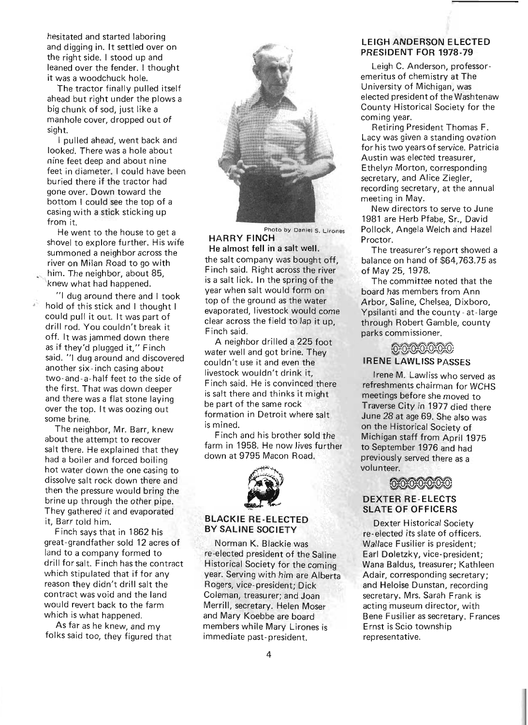hesitated and started laboring and digging in. It settled over on the right side. I stood up and leaned over the fender. I thought it was a woodchuck hole.

The tractor finally pulled itself ahead but right under the plows a big chunk of sod, just like a manhole cover, dropped out of sight.

I pulled ahead, went back and looked. There was a hole about nine feet deep and about nine feet in diameter. I could have been bu ried there if the tractor had gone over. Down toward the bottom I could see the top of a casing with a stick sticking up from it.

He went to the house to get a shovel to explore further. His wife summoned a neighbor across the river on Milan Road to go with him. The neighbor, about 85. knew what had happened.

"I dug around there and I took hold of this stick and I thought I could pull it out. It was part of drill rod. You couldn 't break it off. It was jammed down there as if they'd plugged it," Finch said. "I dug around and discovered another six - inch casing about two-and-a-half feet to the side of the first. That was down deeper and there was a flat stone laying over the top. It was oozing out some brine.

The neighbor, Mr. Barr, knew about the attempt to recover salt there. He explained that they had a boiler and forced boiling hot water down the one casing to dissolve salt rock down there and then the pressure would bring the brine up through the other pipe. They gathered it and evaporated it, Barr told him.

Finch says that in 1862 his great- grandfather sold 12 acres of land to a company formed to drill for salt. Finch hasthe contract which stipulated that if for any reason they didn't drill salt the contract was void and the land would revert back to the farm which is what happened.

As far as he knew, and my folks said too, they figured that



Photo by Daniel S. Lirones HARRY FINCH

He almost fell in a salt well. the salt company was bought off, F inch said. Right across the river is a salt lick. In the spring of the year when salt would form on top of the ground as the water evaporated, livestock would come clear across the field to lap it up, Finch said.

A neighbor drilled a 225 foot water well and got brine. They couldn't use it and even the livestock wouldn't drink it, Finch said. He is convinced there is salt there and thinks it might be part of the same rock formation in Detroit where salt is mined.

Finch and his brother sold the farm in 1958. He now lives further down at 9795 Macon Road.



## BY SALINE SOCIETY

Norman K. Blackie was re-elected president of the Saline Historical Society for the coming year. Serving with him are Alberta Rogers, vice- president; Dick Coleman, treasurer; and Joan Merrill, secretary. Helen Moser and Mary Koebbe are board members while Mary Lirones is immediate past-president.

#### LEIGH ANDERSON ELECTED PRESIDENT FOR 1978-79

Leigh C. Anderson, professoremeritus of chemistry at The University of Michigan, was elected president of the Washtenaw County Historical Society for the coming year.

Retiring President Thomas F. Lacy was given a standing ovation for his two years of service. Patricia Austin was elected treasurer, Ethelyn Morton, corresponding secretary, and Alice Ziegler, recording secretary, at the annual meeting in May.

New directors to serve to June 1981 are Herb Pfabe, Sr., David Pollock, Angela Welch and Hazel Proctor.

The treasurer's report showed a balance on hand of \$64,763.75 as of May 25, 1978.

The committee noted that the board has members from Ann Arbor, Saline, Chelsea, Dixboro, Ypsilanti and the county - at-large ~ LAWLISS PASSES through Robert Gamble, county parks commissioner.

# **IRENE LAWLISS PASSES**

Irene M. Lawliss who served as refreshments chairman for WCHS meetings before she moved to Traverse City in 1977 died there June 28 at age 69. She also was on the Historical Society of Michigan staff from April 1975 to September 1976 and had previously served there as a volunteer. ~



#### DEXTER RE-ELECTS SLATE OF OFFICERS

Dexter Historical Society re-elected its slate of officers. Wallace Fusilier is president; Earl Doletzky, vice-president; Wana Baldus, treasurer; Kathleen Adair, corresponding secretary; and Heloise Dunstan, recording secretary. Mrs. Sarah Frank is acting museum director, with Bene Fusilier as secretary. Frances Ernst is Scio township representative.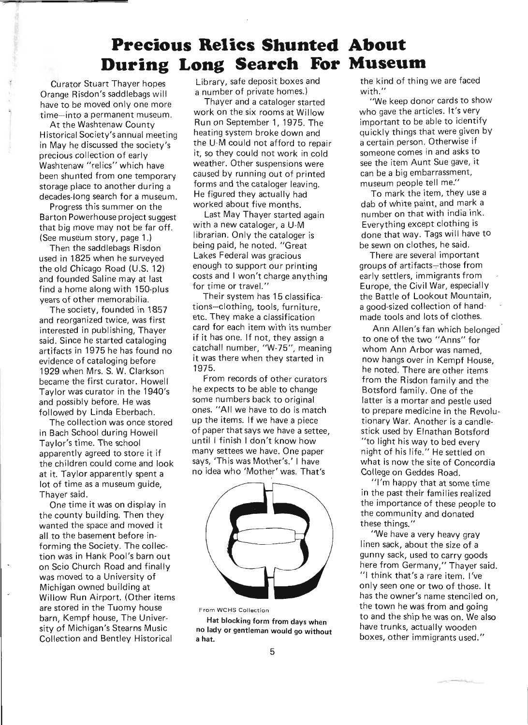### **Precious Relics Shunted About During Long Search For Museum**

Curator Stuart Thayer hopes Orange Risdon's saddlebags will have to be moved only one more time-into a permanent museum.

At the Washtenaw County Historical Society's annual meeting in May he discussed the society's precious collection of early Washtenaw "relics" which have been shunted from one temporary storage place to another during a decades-long search for a museum.

Progress this summer on the Barton Powerhouse project suggest that big move may not be far off. (See museum story, page 1.)

Then the saddlebags Risdon used in 1825 when he surveyed the old Chicago Road (U.S. 12) and founded Saline may at last find a home along with 150-plus years of other memorabilia.

The society, founded in 1857 and reorganized twice, was first interested in publishing, Thayer said. Since he started cataloging artifacts in 1975 he has found no evidence of cataloging before 1929 when Mrs. S. W. Clarkson became the first curator. Howell Taylor was curator in the 1940's and possibly before. He was followed by Linda Eberbach.

The collection was once stored in Bach School during Howell Taylor's time. The school apparently agreed to store it if the children could come and look at it. Taylor apparently spent a lot of time as a museum guide, Thayer said.

One time it was on display in the county building. Then they wanted the space and moved it all to the basement before informing the Society. The collection was in Hank Pool's barn out on Scio Church Road and finally was moved to a University of Michigan owned building at Willow Run Airport. (Other items are stored in the Tuomy house barn, Kempf house, The University of Michigan's Stearns Music Collection and Bentley Historical

Library, safe deposit boxes and a number of private homes.)

Thayer and a cataloger started work on the six rooms at Willow Run on September 1,1975. The heating system broke down and the U·M could not afford to repair it, so they could not work in cold weather. Other suspensions were caused by running out of printed forms and the cataloger leaving. He figured they actually had worked about five months.

Last May Thayer started again with a new cataloger, a U-M librarian. Only the cataloger is being paid, he noted. "Great Lakes Federal was gracious enough to support our printing costs and I won't charge anything for time or travel."

Their system has 15 classifications-clothing, tools, furniture, etc. They make a classification card for each item with its number if it has one. If not, they assign a catchall number, "W-75", meaning it was there when they started in 1975.

From records of other curators he expects to be able to change some numbers back to original ones. "All we have to do is match up the items. If we have a piece of paper that says we have a settee, until I finish I don't know how many settees we have. One paper says, 'This was Mother's.' I have no idea who 'Mother' was. That's



From WCHS Collection

Hat blocking form from days when no lady or gentleman would go without a hat.

the kind of thing we are faced with."

"We keep donor cards to show who gave the articles. It's very important to be able to identify quickly things that were given by a certain person. Otherwise if someone comes in and asks to see the item Aunt Sue gave, it can be a big embarrassment, museum people tell me."

To mark the item, they use a dab of white paint, and mark a number on that with india ink. Everything except clothing is done that way. Tags will have to be sewn on clothes, he said.

There are several important groups of artifacts-those from early settlers, immigrants from Europe, the Civil War, especially the Battle of Lookout Mountain, a good-sized collection of handmade tools and lots of clothes.

Ann Allen's fan which belonged' to one of the two "Anns" for whom Ann Arbor was named, now hangs over in Kempf House, he noted. There are other items from the Risdon family and the Botsford family. One of the latter is a mortar and pestle used to prepare medicine in the Revolutionary War. Another is a candlestick used by Elnathan Botsford "to light his way to bed every night of his life." He settled on what is now the site of Concordia College on Geddes Road.

"I'm happy that at some time in the past their families realized the importance of these people to the community and donated these things."

"We have a very heavy gray linen sack, about the size of a gunny sack, used to carry goods here from Germany," Thayer said. "1 think that's a rare item. I've only seen one or two of those. It has the owner's name stenciled on the town he was from and going to and the ship he was on. We also have trunks, actually wooden boxes, other immigrants used."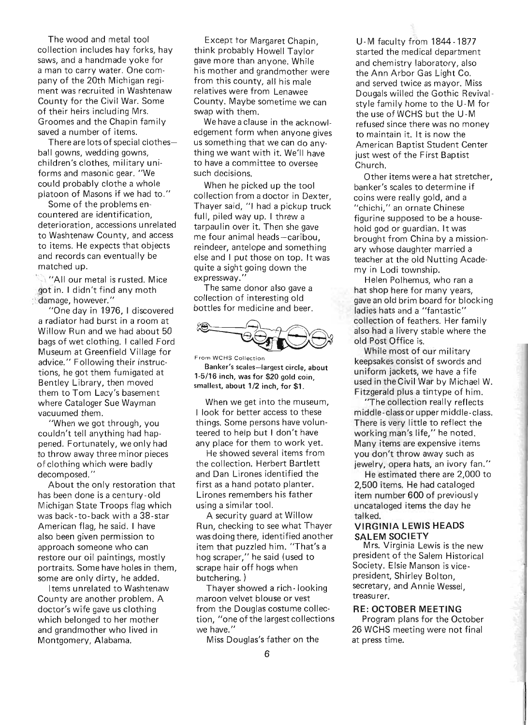The wood and metal tool collection includes hay forks, hay saws, and a handmade yoke for a man to carry water. One company of the 20th Michigan regiment was recruited in Washtenaw County for the Civil War. Some of their heirs including Mrs. Groomes and the Chapin family saved a number of items.

There are lots of special clothesball gowns, wedding gowns, children's clothes, military uniforms and masonic gear. "We could probably clothe a whole platoon of Masons if we had to."

Some of the problems encountered are identification, deterioration, accessions unrelated to Washtenaw County, and access to items. He expects that objects and records can eventually be matched up.

"All our metal is rusted. Mice got in. I didn't find any moth : damage, however."

"One day in 1976, I discovered a radiator had burst in a room at Willow Run and we had about 50 bags of wet clothing. I called Ford Museum at Greenfield Village for advice." Following their instructions, he got them fumigated at Bentley Library, then moved them to Tom Lacy's basement where Cataloger Sue Wayman vacuumed them.

"When we got through, you couldn't tell anything had happened. Fortunately, we only had to throwaway three minor pieces of clothing which were badly decomposed. "

About the only restoration that has been done is a century-old Michigan State Troops flag which was back-to-back with a 3B-star American flag, he said. I have also been given permission to approach someone who can restore our oil paintings, mostly portraits. Some have holes in them, some are only dirty, he added.

Items unrelated to Washtenaw County are another problem. A doctor's wife gave us clothing which belonged to her mother and grandmother who lived in Montgomery, Alabama.

Except tor Margaret Chapin, think probably Howell Taylor gave more than anyone. While his mother and grandmother were from this county, all his male relatives were from Lenawee County. Maybe sometime we can swap with them.

We have a clause in the acknowledgement form when anyone gives us something that we can do anything we want with it. We'll have to have a committee to oversee such decisions.

When he picked up the tool collection from a doctor in Dexter, Thayer said, "I had a pickup truck full, piled way up. I threw a tarpaulin over it. Then she gave me four animal heads-caribou, reindeer, antelope and something else and I put those on top. It was quite a sight going down the expressway.'

The same donor also gave a collection of interesting old bottles for medicine and beer.



From WCHS Collection

Banker's scales-largest circle, about 1-5/16 inch, was for \$20 gold coin, smallest, about 1/2 inch, for \$1.

When we get into the museum, I look for better access to these things. Some persons have volunteered to help but I don't have any place for them to work yet.

He showed several items from the collection. Herbert Bartlett and Dan Lirones identified the first as a hand potato planter. Lirones remembers his father using a similar tool.

A security guard at Willow Run, checking to see what Thayer was doing there, identified another item that puzzled him. "That's a hog scraper," he said (used to scrape hair off hogs when butchering. )

Thayer showed a rich - looking maroon velvet blouse or vest from the Douglas costume collection, "one of the largest collections we have."

Miss Douglas's father on the

U - M faculty from 1844 - 1877 started the medical department and chemistry laboratory, also the Ann Arbor Gas Light Co. and served twice as mayor. Miss Dougals willed the Gothic Revivalstyle family home to the U-M for the use of WCHS but the U-M refused since there was no money to maintain it. It is now the American Baptist Student Center just west of the First Baptist Church.

Other items were a hat stretcher, banker's scales to determine if coins were really gold, and a "chichi," an ornate Chinese figurine supposed to be a household god or guardian. It was brought from China by a missionary whose daughter married a teacher at the old Nutting Academy in Lodi township.

Helen Polhemus, who ran a hat shop here for many years, gave an old brim board for blocking ladies hats and a "fantastic" collection of feathers. Her family also had a livery stable where the old Post Office is.

While most of our military keepsakes consist of swords and uniform jackets, we have a fife used in the Civil War by Michael W. Fitzgerald plus a tintype of him.

"The collection really reflects middle-class or upper middle-class. There is very little to reflect the working man's life," he noted. Many items are expensive items you don't throwaway such as jewelry, opera hats, an ivory fan."

He estimated there are 2,000 to 2,500 items. He had cataloged item number 600 of previously uncataloged items the day he talked.

#### **VIRGINIA LEWIS HEADS SALEM SOCIETY**

Mrs. Virginia Lewis is the new president of the Salem Historical Society. Elsie Manson is vicepresident, Shirley Bolton, secretary, and Annie Wessel, treasurer.

#### **RE: OCTOBER MEETING**

Program plans for the October 26 WCHS meeting were not final at press time.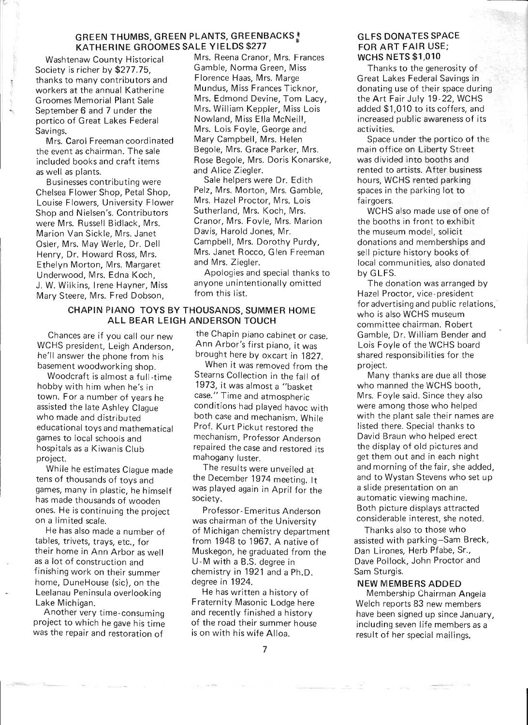#### GREEN THUMBS, GREEN PLANTS, GREENBACKS KATHERINE GROOMES SALE YIELDS \$277

Washtenaw County Historical Society is richer by \$277.75, thanks to many contributors and workers at the annual Katherine Groomes Memorial Plant Sale September 6 and 7 under the portico of Great Lakes Federal Savings.

Mrs. Carol Freeman coordinated the event as chairman. The sale included books and craft items as well as plants.

Businesses contributing were Chelsea Flower Shop, Petal Shop, Louise Flowers, University Flower Shop and Nielsen's. Contributors were Mrs. Russell Bidlack, Mrs. Marion Van Sickle, Mrs. Janet Osler, Mrs. May Werle, Dr. Dell Henry, Dr. Howard Ross, Mrs. Ethelyn Morton, Mrs. Margaret Underwood, Mrs. Edna Koch , J. W. Wilkins, Irene Hayner, Miss Mary Steere, Mrs. Fred Dobson,

> CHAPIN PIANO TOYS BY THOUSANDS, SUMMER HOME ALL BEAR LEIGH ANDERSON TOUCH

Chances are if you call our new WCHS president, Leigh Anderson, he'll answer the phone from his basement woodworking shop.

Woodcraft is almost a full-time hobby with him when he's in town. For a number of years he assisted the late Ashley Clague who made and distributed educational toys and mathematical games to local schools and hospitals as a Kiwanis Club project.

While he estimates Clague made tens of thousands of toys and games, many in plastic, he himself has made thousands of wooden ones. He is continuing the project on a limited scale.

He has also made a number of tables, trivets, trays, etc., for their home in Ann Arbor as well as a lot of construction and finishing work on their summer home, DuneHouse (sic), on the Leelanau Peninsula overlooking Lake Michigan.

Another very time-consuming project to which he gave his time was the repair and restoration of

Mrs. Reena Cranor, Mrs. Frances Gamble, Norma Green, Miss Florence Haas, Mrs. Marge Mundus, Miss Frances Ticknor, Mrs. Edmond Devine, Tom Lacy, Mrs. William Keppler, Miss Lois Nowland, Miss Ella McNeill, Mrs. Lois Foyle, George and Mary Campbell, Mrs. Helen Begole, Mrs. Grace Parker, Mrs. Rose Begole, Mrs. Doris Konarske, and Alice Ziegler.

Sale helpers were Dr. Edith Pelz, Mrs. Morton, Mrs. Gamble, Mrs. Hazel Proctor, Mrs. Lois Sutherland, Mrs. Koch, Mrs. Cranor, Mrs. Fovle, Mrs. Marion Davis, Harold Jones, Mr. Campbell, Mrs. Dorothy Purdy, Mrs. Janet Rocco, Glen Freeman and Mrs. Ziegler.

Apologies and special thanks to anyone unintentionally omitted from this list.

the Chapin piano cabinet or case. Ann Arbor's first piano, it was brought here by oxcart in 1827.

When it was removed from the Stearns Collection in the fall of 1973, it was almost a "basket case." Time and atmospheric conditions had played havoc with both case and mechanism. While Prof. Kurt Pickut restored the mechanism, Professor Anderson repaired the case and restored its mahogany luster.

The results were unveiled at the December 1974 meeting. It was played again in April for the society.

Professor- Emeritus Anderson was chairman of the University of Michigan chemistry department from 1948 to 1967. A native of Muskegon, he graduated from the U-M with a B.S. degree in chemistry in 1921 and a Ph.D. degree in 1924.

He has written a history of Fraternity Masonic Lodge here and recently finished a history of the road their summer house is on with his wife Alloa.

#### GLFS DONATES SPACE FOR ART FAIR USE; WCHS NETS \$1,010

Thanks to the generosity of Great Lakes Federal Savings in donating use of their space during the Art Fair July 19-22, WCHS added \$1,010 to its coffers, and increased public awareness of its activities.

Space under the portico of the main office on Liberty Street was divided into booths and rented to artists. After business hours, WCHS rented parking spaces in the parking lot to fairgoers.

WCHS also made use of one of the booths in front to exhibit the museum model, solicit donations and memberships and sell picture history books of local communities, also donated by GLFS.

The donation was arranged by Hazel Proctor, vice- president for advertising and public relations,' who is also WCHS museum committee chairman. Robert Gamble, Dr. William Bender and Lois Foyle of the WCHS board shared responsibilities for the project.

Many thanks are due all those who manned the WCHS booth, Mrs. Foyle said. Since they also were among those who helped with the plant sale their names are listed there. Special thanks to David Braun who helped erect the display of old pictures and get them out and in each night and morning of the fair, she added, and to Wystan Stevens who set up a slide presentation on an automatic viewing machine. Both picture displays attracted considerable interest, she noted.

Thanks also to those who assisted with parking-Sam Breck, Dan Lirones, Herb Pfabe, Sr., Dave Pollock, John Proctor and Sam Sturgis.

#### NEW MEMBERS ADDED

Membership Chairman Angela Welch reports 83 new members have been signed up since January, including seven life members as a result of her special mailings.